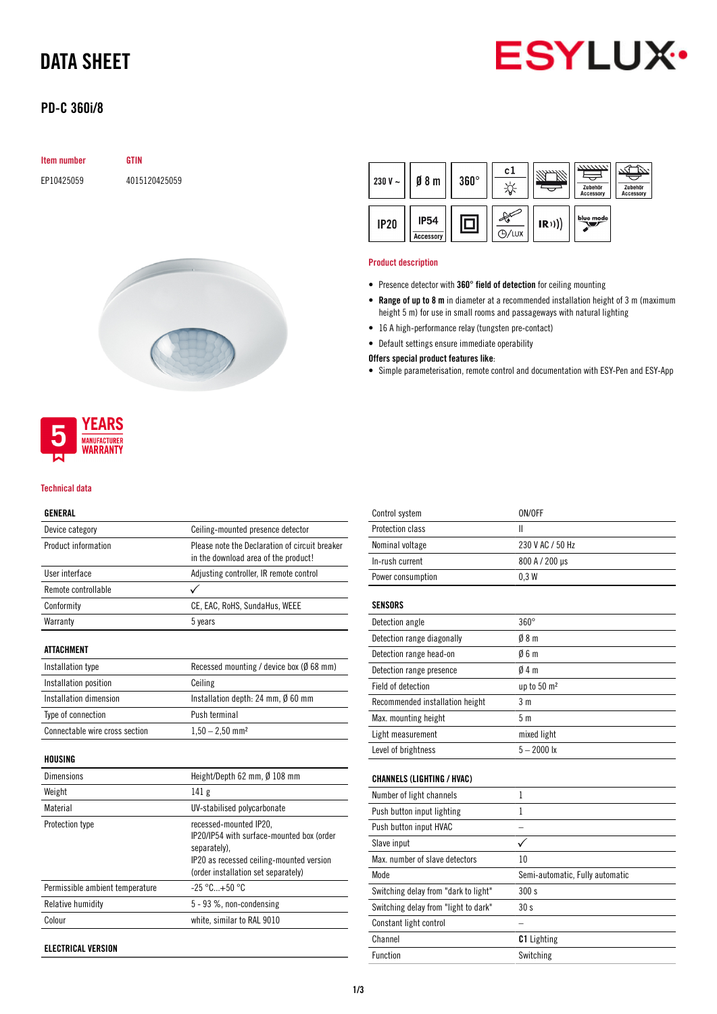## DATA SHEET



## PD-C 360i/8

| <b>Item number</b> | <b>GTIN</b>   |  |
|--------------------|---------------|--|
| EP10425059         | 4015120425059 |  |
|                    |               |  |





### Technical data

### GENERAL

| Device category                | Ceiling-mounted presence detector                                                      |
|--------------------------------|----------------------------------------------------------------------------------------|
| Product information            | Please note the Declaration of circuit breaker<br>in the download area of the product! |
| User interface                 | Adjusting controller, IR remote control                                                |
| Remote controllable            |                                                                                        |
| Conformity                     | CE, EAC, RoHS, SundaHus, WEEE                                                          |
| Warranty                       | 5 years                                                                                |
| ATTACHMENT                     |                                                                                        |
|                                |                                                                                        |
| Installation type              | Recessed mounting / device box ( $\emptyset$ 68 mm)                                    |
| Installation position          | Ceiling                                                                                |
| Installation dimension         | Installation depth: 24 mm, $\emptyset$ 60 mm                                           |
| Type of connection             | Push terminal                                                                          |
| Connectable wire cross section | $1,50 - 2,50$ mm <sup>2</sup>                                                          |
| <b>HOUSING</b>                 |                                                                                        |
| Dimensions                     | Height/Depth 62 mm, $\emptyset$ 108 mm                                                 |

| Weight                          | 141 <sub>g</sub>                                                                                                                                                       |
|---------------------------------|------------------------------------------------------------------------------------------------------------------------------------------------------------------------|
| Material                        | UV-stabilised polycarbonate                                                                                                                                            |
| Protection type                 | recessed-mounted IP20,<br>IP20/IP54 with surface-mounted box (order<br>separately).<br>IP20 as recessed ceiling-mounted version<br>(order installation set separately) |
| Permissible ambient temperature | $-25$ °C+50 °C                                                                                                                                                         |
| Relative humidity               | $5 - 93$ %, non-condensing                                                                                                                                             |
| Colour                          | white, similar to RAL 9010                                                                                                                                             |
|                                 |                                                                                                                                                                        |

ELECTRICAL VERSION



## Product description

- Presence detector with 360° field of detection for ceiling mounting
- Range of up to 8 m in diameter at a recommended installation height of 3 m (maximum height 5 m) for use in small rooms and passageways with natural lighting
- 16 A high-performance relay (tungsten pre-contact)
- Default settings ensure immediate operability

### Offers special product features like:

• Simple parameterisation, remote control and documentation with ESY-Pen and ESY-App

| Control system                       | ON/OFF                          |
|--------------------------------------|---------------------------------|
| Protection class                     | Ш                               |
| Nominal voltage                      | 230 V AC / 50 Hz                |
| In-rush current                      | 800 A / 200 µs                  |
| Power consumption                    | 0.3W                            |
|                                      |                                 |
| <b>SENSORS</b>                       |                                 |
| Detection angle                      | $360^\circ$                     |
| Detection range diagonally           | 08 <sub>m</sub>                 |
| Detection range head-on              | 06m                             |
| Detection range presence             | 04m                             |
| Field of detection                   | up to 50 m <sup>2</sup>         |
| Recommended installation height      | 3 <sub>m</sub>                  |
| Max. mounting height                 | 5 <sub>m</sub>                  |
| Light measurement                    | mixed light                     |
| Level of brightness                  | $5 - 2000$ lx                   |
|                                      |                                 |
| <b>CHANNELS (LIGHTING / HVAC)</b>    |                                 |
| Number of light channels             | $\mathbf{1}$                    |
| Push button input lighting           | 1                               |
| Push button input HVAC               |                                 |
| Slave input                          | ✓                               |
| Max, number of slave detectors       | 10                              |
| Mode                                 | Semi-automatic, Fully automatic |
| Switching delay from "dark to light" | 300 s                           |
| Switching delay from "light to dark" | 30 <sub>s</sub>                 |
| Constant light control               |                                 |
| Channel                              | <b>C1</b> Lighting              |
| <b>Function</b>                      | Switching                       |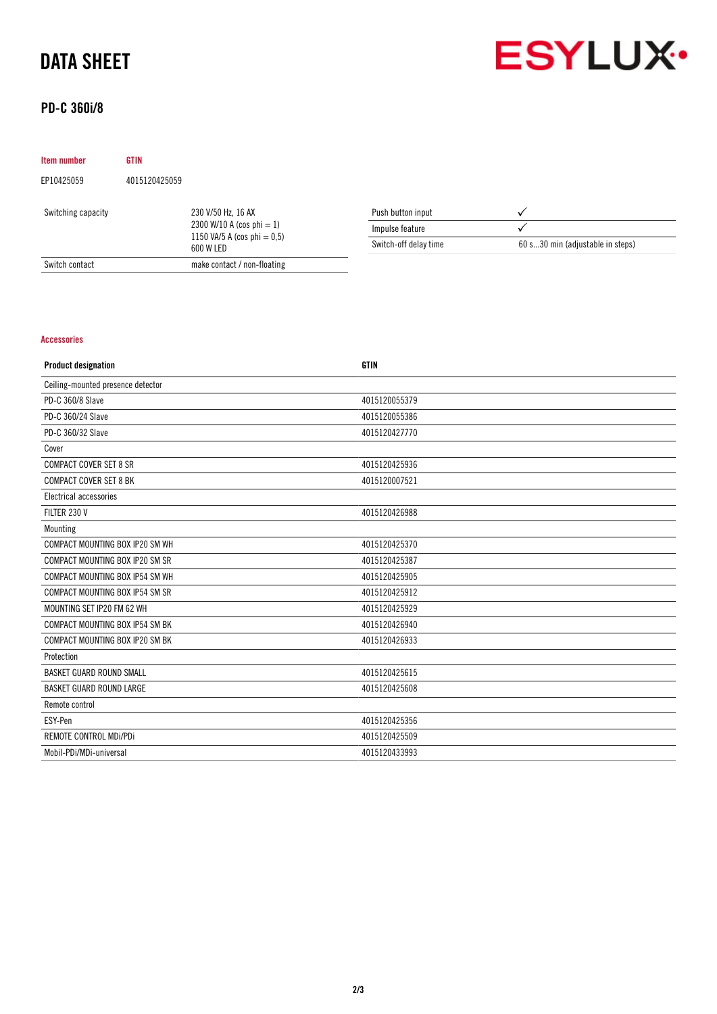## DATA SHEET



## PD-C 360i/8

| Item number        | <b>GTIN</b>   |                                                                                                   |                       |                                  |
|--------------------|---------------|---------------------------------------------------------------------------------------------------|-----------------------|----------------------------------|
| EP10425059         | 4015120425059 |                                                                                                   |                       |                                  |
| Switching capacity |               | 230 V/50 Hz, 16 AX<br>2300 W/10 A (cos phi $= 1$ )<br>1150 VA/5 A (cos phi = $0,5$ )<br>600 W LED | Push button input     |                                  |
|                    |               |                                                                                                   | Impulse feature       |                                  |
|                    |               |                                                                                                   | Switch-off delay time | 60 s30 min (adjustable in steps) |
| Switch contact     |               | make contact / non-floating                                                                       |                       |                                  |

## Accessories

| <b>Product designation</b>        | <b>GTIN</b>   |
|-----------------------------------|---------------|
| Ceiling-mounted presence detector |               |
| PD-C 360/8 Slave                  | 4015120055379 |
| PD-C 360/24 Slave                 | 4015120055386 |
| PD-C 360/32 Slave                 | 4015120427770 |
| Cover                             |               |
| <b>COMPACT COVER SET 8 SR</b>     | 4015120425936 |
| <b>COMPACT COVER SET 8 BK</b>     | 4015120007521 |
| Electrical accessories            |               |
| FILTER 230 V                      | 4015120426988 |
| Mounting                          |               |
| COMPACT MOUNTING BOX IP20 SM WH   | 4015120425370 |
| COMPACT MOUNTING BOX IP20 SM SR   | 4015120425387 |
| COMPACT MOUNTING BOX IP54 SM WH   | 4015120425905 |
| COMPACT MOUNTING BOX IP54 SM SR   | 4015120425912 |
| MOUNTING SET IP20 FM 62 WH        | 4015120425929 |
| COMPACT MOUNTING BOX IP54 SM BK   | 4015120426940 |
| COMPACT MOUNTING BOX IP20 SM BK   | 4015120426933 |
| Protection                        |               |
| BASKET GUARD ROUND SMALL          | 4015120425615 |
| <b>BASKET GUARD ROUND LARGE</b>   | 4015120425608 |
| Remote control                    |               |
| ESY-Pen                           | 4015120425356 |
| REMOTE CONTROL MDi/PDi            | 4015120425509 |
| Mobil-PDi/MDi-universal           | 4015120433993 |